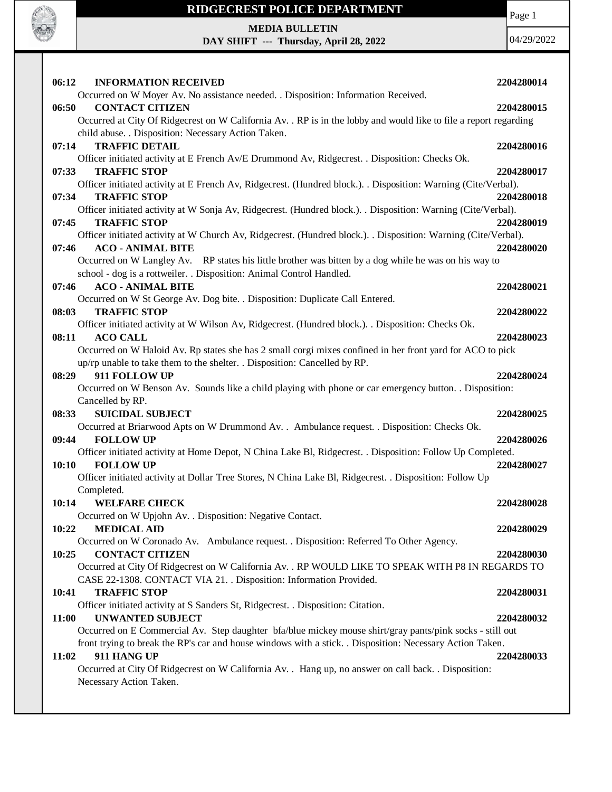

## **RIDGECREST POLICE DEPARTMENT**

Page 1

**MEDIA BULLETIN**

**DAY SHIFT --- Thursday, April 28, 2022**

04/29/2022

| 06:12                              | <b>INFORMATION RECEIVED</b>                                                                                       | 2204280014 |  |
|------------------------------------|-------------------------------------------------------------------------------------------------------------------|------------|--|
|                                    | Occurred on W Moyer Av. No assistance needed. . Disposition: Information Received.                                |            |  |
| 06:50                              | <b>CONTACT CITIZEN</b>                                                                                            | 2204280015 |  |
|                                    | Occurred at City Of Ridgecrest on W California Av. . RP is in the lobby and would like to file a report regarding |            |  |
|                                    | child abuse. . Disposition: Necessary Action Taken.                                                               |            |  |
| 07:14                              | <b>TRAFFIC DETAIL</b>                                                                                             | 2204280016 |  |
|                                    | Officer initiated activity at E French Av/E Drummond Av, Ridgecrest. . Disposition: Checks Ok.                    |            |  |
| 07:33                              | <b>TRAFFIC STOP</b>                                                                                               | 2204280017 |  |
|                                    | Officer initiated activity at E French Av, Ridgecrest. (Hundred block.). . Disposition: Warning (Cite/Verbal).    |            |  |
| 07:34                              | <b>TRAFFIC STOP</b>                                                                                               | 2204280018 |  |
|                                    | Officer initiated activity at W Sonja Av, Ridgecrest. (Hundred block.). . Disposition: Warning (Cite/Verbal).     |            |  |
| 07:45                              | <b>TRAFFIC STOP</b>                                                                                               | 2204280019 |  |
|                                    | Officer initiated activity at W Church Av, Ridgecrest. (Hundred block.). Disposition: Warning (Cite/Verbal).      |            |  |
| 07:46                              | <b>ACO - ANIMAL BITE</b>                                                                                          | 2204280020 |  |
|                                    | Occurred on W Langley Av. RP states his little brother was bitten by a dog while he was on his way to             |            |  |
|                                    | school - dog is a rottweiler. . Disposition: Animal Control Handled.                                              |            |  |
| 07:46                              | <b>ACO - ANIMAL BITE</b>                                                                                          | 2204280021 |  |
|                                    | Occurred on W St George Av. Dog bite. . Disposition: Duplicate Call Entered.                                      |            |  |
| 08:03                              | <b>TRAFFIC STOP</b>                                                                                               | 2204280022 |  |
|                                    | Officer initiated activity at W Wilson Av, Ridgecrest. (Hundred block.). . Disposition: Checks Ok.                |            |  |
| 08:11                              | <b>ACO CALL</b>                                                                                                   | 2204280023 |  |
|                                    | Occurred on W Haloid Av. Rp states she has 2 small corgi mixes confined in her front yard for ACO to pick         |            |  |
|                                    | up/rp unable to take them to the shelter. . Disposition: Cancelled by RP.                                         |            |  |
| 08:29                              | 911 FOLLOW UP                                                                                                     | 2204280024 |  |
|                                    | Occurred on W Benson Av. Sounds like a child playing with phone or car emergency button. . Disposition:           |            |  |
|                                    | Cancelled by RP.                                                                                                  |            |  |
| 08:33                              | <b>SUICIDAL SUBJECT</b>                                                                                           | 2204280025 |  |
|                                    | Occurred at Briarwood Apts on W Drummond Av. . Ambulance request. . Disposition: Checks Ok.                       |            |  |
| 09:44                              | <b>FOLLOW UP</b>                                                                                                  | 2204280026 |  |
|                                    | Officer initiated activity at Home Depot, N China Lake Bl, Ridgecrest. . Disposition: Follow Up Completed.        |            |  |
| 10:10                              | <b>FOLLOW UP</b>                                                                                                  | 2204280027 |  |
|                                    | Officer initiated activity at Dollar Tree Stores, N China Lake Bl, Ridgecrest. . Disposition: Follow Up           |            |  |
|                                    | Completed.                                                                                                        |            |  |
| 10:14                              | <b>WELFARE CHECK</b>                                                                                              | 2204280028 |  |
|                                    | Occurred on W Upjohn Av. . Disposition: Negative Contact.                                                         |            |  |
| 10:22                              | <b>MEDICAL AID</b>                                                                                                | 2204280029 |  |
|                                    | Occurred on W Coronado Av. Ambulance request. . Disposition: Referred To Other Agency.                            |            |  |
| 10:25                              | <b>CONTACT CITIZEN</b>                                                                                            | 2204280030 |  |
|                                    | Occurred at City Of Ridgecrest on W California Av. . RP WOULD LIKE TO SPEAK WITH P8 IN REGARDS TO                 |            |  |
|                                    | CASE 22-1308. CONTACT VIA 21. . Disposition: Information Provided.                                                |            |  |
| 10:41                              | <b>TRAFFIC STOP</b>                                                                                               | 2204280031 |  |
|                                    | Officer initiated activity at S Sanders St, Ridgecrest. . Disposition: Citation.                                  |            |  |
| 11:00                              | <b>UNWANTED SUBJECT</b>                                                                                           | 2204280032 |  |
|                                    | Occurred on E Commercial Av. Step daughter bfa/blue mickey mouse shirt/gray pants/pink socks - still out          |            |  |
|                                    | front trying to break the RP's car and house windows with a stick. . Disposition: Necessary Action Taken.         |            |  |
| 11:02<br>911 HANG UP<br>2204280033 |                                                                                                                   |            |  |
|                                    | Occurred at City Of Ridgecrest on W California Av. . Hang up, no answer on call back. . Disposition:              |            |  |
|                                    | Necessary Action Taken.                                                                                           |            |  |
|                                    |                                                                                                                   |            |  |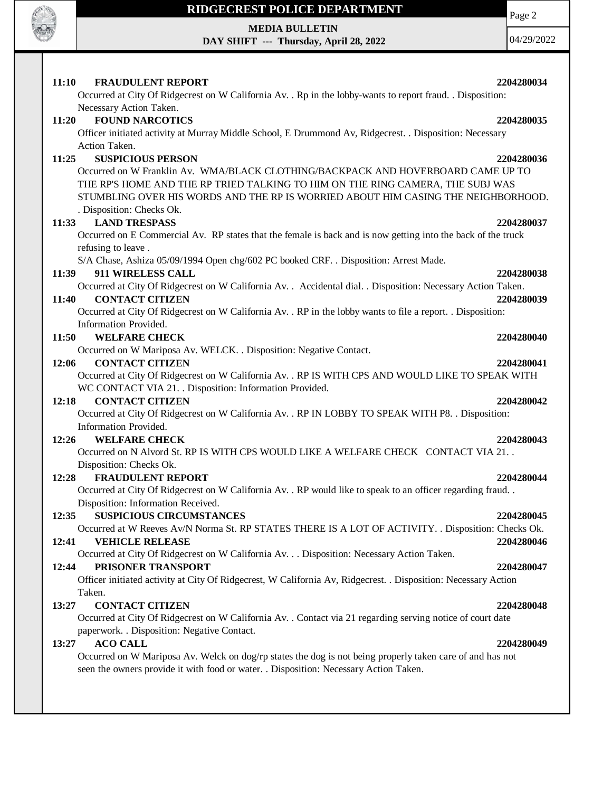

## **RIDGECREST POLICE DEPARTMENT**

**MEDIA BULLETIN**

**DAY SHIFT --- Thursday, April 28, 2022**

Page 2

04/29/2022

| <b>FRAUDULENT REPORT</b><br><b>11:10</b>                                                                       | 2204280034 |
|----------------------------------------------------------------------------------------------------------------|------------|
| Occurred at City Of Ridgecrest on W California Av. . Rp in the lobby-wants to report fraud. . Disposition:     |            |
| Necessary Action Taken.                                                                                        |            |
| <b>FOUND NARCOTICS</b><br>11:20                                                                                | 2204280035 |
| Officer initiated activity at Murray Middle School, E Drummond Av, Ridgecrest. . Disposition: Necessary        |            |
| Action Taken.                                                                                                  |            |
| <b>SUSPICIOUS PERSON</b><br>11:25                                                                              | 2204280036 |
| Occurred on W Franklin Av. WMA/BLACK CLOTHING/BACKPACK AND HOVERBOARD CAME UP TO                               |            |
| THE RP'S HOME AND THE RP TRIED TALKING TO HIM ON THE RING CAMERA, THE SUBJ WAS                                 |            |
| STUMBLING OVER HIS WORDS AND THE RP IS WORRIED ABOUT HIM CASING THE NEIGHBORHOOD.                              |            |
| . Disposition: Checks Ok.                                                                                      |            |
| <b>LAND TRESPASS</b><br>11:33                                                                                  | 2204280037 |
| Occurred on E Commercial Av. RP states that the female is back and is now getting into the back of the truck   |            |
| refusing to leave.                                                                                             |            |
| S/A Chase, Ashiza 05/09/1994 Open chg/602 PC booked CRF. . Disposition: Arrest Made.                           |            |
| 911 WIRELESS CALL<br>11:39                                                                                     | 2204280038 |
| Occurred at City Of Ridgecrest on W California Av. . Accidental dial. . Disposition: Necessary Action Taken.   |            |
| <b>CONTACT CITIZEN</b><br>11:40                                                                                | 2204280039 |
| Occurred at City Of Ridgecrest on W California Av. . RP in the lobby wants to file a report. . Disposition:    |            |
| Information Provided.                                                                                          |            |
| 11:50<br><b>WELFARE CHECK</b>                                                                                  | 2204280040 |
| Occurred on W Mariposa Av. WELCK. . Disposition: Negative Contact.                                             |            |
| <b>CONTACT CITIZEN</b><br>12:06                                                                                | 2204280041 |
| Occurred at City Of Ridgecrest on W California Av. . RP IS WITH CPS AND WOULD LIKE TO SPEAK WITH               |            |
| WC CONTACT VIA 21. . Disposition: Information Provided.                                                        |            |
| 12:18<br><b>CONTACT CITIZEN</b>                                                                                | 2204280042 |
| Occurred at City Of Ridgecrest on W California Av. . RP IN LOBBY TO SPEAK WITH P8. . Disposition:              |            |
| Information Provided.                                                                                          |            |
| 12:26<br><b>WELFARE CHECK</b>                                                                                  | 2204280043 |
| Occurred on N Alvord St. RP IS WITH CPS WOULD LIKE A WELFARE CHECK CONTACT VIA 21. .                           |            |
| Disposition: Checks Ok.                                                                                        |            |
| <b>FRAUDULENT REPORT</b><br>12:28                                                                              | 2204280044 |
| Occurred at City Of Ridgecrest on W California Av. . RP would like to speak to an officer regarding fraud. .   |            |
| Disposition: Information Received.                                                                             |            |
| 12:35<br><b>SUSPICIOUS CIRCUMSTANCES</b>                                                                       | 2204280045 |
| Occurred at W Reeves Av/N Norma St. RP STATES THERE IS A LOT OF ACTIVITY. . Disposition: Checks Ok.            |            |
| 12:41<br><b>VEHICLE RELEASE</b>                                                                                | 2204280046 |
| Occurred at City Of Ridgecrest on W California Av. Disposition: Necessary Action Taken.                        |            |
| PRISONER TRANSPORT<br>12:44                                                                                    | 2204280047 |
| Officer initiated activity at City Of Ridgecrest, W California Av, Ridgecrest. . Disposition: Necessary Action |            |
| Taken.                                                                                                         |            |
| <b>CONTACT CITIZEN</b><br>13:27                                                                                | 2204280048 |
| Occurred at City Of Ridgecrest on W California Av. . Contact via 21 regarding serving notice of court date     |            |
| paperwork. . Disposition: Negative Contact.                                                                    |            |
| <b>ACO CALL</b><br>13:27                                                                                       | 2204280049 |
| Occurred on W Mariposa Av. Welck on dog/rp states the dog is not being properly taken care of and has not      |            |
| seen the owners provide it with food or water. . Disposition: Necessary Action Taken.                          |            |
|                                                                                                                |            |
|                                                                                                                |            |
|                                                                                                                |            |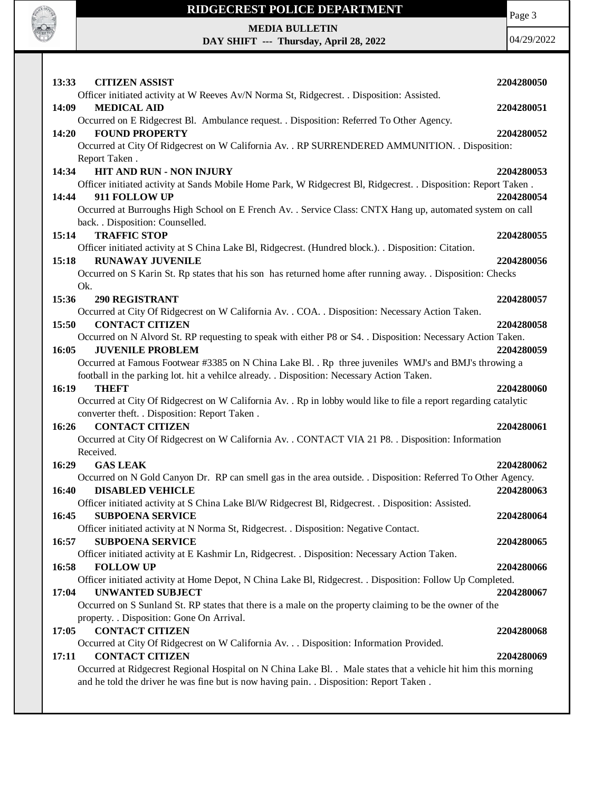

## **RIDGECREST POLICE DEPARTMENT**

Page 3

04/29/2022

**MEDIA BULLETIN**

**DAY SHIFT --- Thursday, April 28, 2022**

| 13:33 | <b>CITIZEN ASSIST</b>                                                                                                                                                                                     | 2204280050 |
|-------|-----------------------------------------------------------------------------------------------------------------------------------------------------------------------------------------------------------|------------|
|       | Officer initiated activity at W Reeves Av/N Norma St, Ridgecrest. . Disposition: Assisted.                                                                                                                |            |
| 14:09 | <b>MEDICAL AID</b>                                                                                                                                                                                        | 2204280051 |
|       | Occurred on E Ridgecrest Bl. Ambulance request. . Disposition: Referred To Other Agency.                                                                                                                  |            |
| 14:20 | <b>FOUND PROPERTY</b>                                                                                                                                                                                     | 2204280052 |
|       | Occurred at City Of Ridgecrest on W California Av. . RP SURRENDERED AMMUNITION. . Disposition:                                                                                                            |            |
|       | Report Taken.                                                                                                                                                                                             |            |
| 14:34 | <b>HIT AND RUN - NON INJURY</b>                                                                                                                                                                           | 2204280053 |
|       | Officer initiated activity at Sands Mobile Home Park, W Ridgecrest Bl, Ridgecrest. . Disposition: Report Taken.                                                                                           |            |
| 14:44 | 911 FOLLOW UP                                                                                                                                                                                             | 2204280054 |
|       | Occurred at Burroughs High School on E French Av. . Service Class: CNTX Hang up, automated system on call                                                                                                 |            |
|       | back. . Disposition: Counselled.                                                                                                                                                                          |            |
| 15:14 | <b>TRAFFIC STOP</b>                                                                                                                                                                                       | 2204280055 |
|       | Officer initiated activity at S China Lake Bl, Ridgecrest. (Hundred block.). . Disposition: Citation.                                                                                                     |            |
| 15:18 | <b>RUNAWAY JUVENILE</b>                                                                                                                                                                                   | 2204280056 |
|       | Occurred on S Karin St. Rp states that his son has returned home after running away. . Disposition: Checks                                                                                                |            |
|       | Ok.                                                                                                                                                                                                       |            |
| 15:36 | <b>290 REGISTRANT</b>                                                                                                                                                                                     | 2204280057 |
|       | Occurred at City Of Ridgecrest on W California Av. . COA. . Disposition: Necessary Action Taken.                                                                                                          |            |
| 15:50 | <b>CONTACT CITIZEN</b>                                                                                                                                                                                    | 2204280058 |
| 16:05 | Occurred on N Alvord St. RP requesting to speak with either P8 or S4. . Disposition: Necessary Action Taken.<br><b>JUVENILE PROBLEM</b>                                                                   | 2204280059 |
|       | Occurred at Famous Footwear #3385 on N China Lake Bl. . Rp three juveniles WMJ's and BMJ's throwing a                                                                                                     |            |
|       | football in the parking lot. hit a vehilce already. . Disposition: Necessary Action Taken.                                                                                                                |            |
| 16:19 | <b>THEFT</b>                                                                                                                                                                                              | 2204280060 |
|       | Occurred at City Of Ridgecrest on W California Av. . Rp in lobby would like to file a report regarding catalytic                                                                                          |            |
|       | converter theft. . Disposition: Report Taken.                                                                                                                                                             |            |
| 16:26 | <b>CONTACT CITIZEN</b>                                                                                                                                                                                    | 2204280061 |
|       | Occurred at City Of Ridgecrest on W California Av. . CONTACT VIA 21 P8. . Disposition: Information                                                                                                        |            |
|       | Received.                                                                                                                                                                                                 |            |
| 16:29 | <b>GAS LEAK</b>                                                                                                                                                                                           | 2204280062 |
|       | Occurred on N Gold Canyon Dr. RP can smell gas in the area outside. . Disposition: Referred To Other Agency.                                                                                              |            |
| 16:40 | <b>DISABLED VEHICLE</b>                                                                                                                                                                                   | 2204280063 |
|       | Officer initiated activity at S China Lake Bl/W Ridgecrest Bl, Ridgecrest. . Disposition: Assisted.                                                                                                       |            |
| 16:45 | <b>SUBPOENA SERVICE</b>                                                                                                                                                                                   | 2204280064 |
|       | Officer initiated activity at N Norma St, Ridgecrest. . Disposition: Negative Contact.                                                                                                                    |            |
| 16:57 | <b>SUBPOENA SERVICE</b>                                                                                                                                                                                   | 2204280065 |
|       | Officer initiated activity at E Kashmir Ln, Ridgecrest. . Disposition: Necessary Action Taken.                                                                                                            |            |
| 16:58 | <b>FOLLOW UP</b>                                                                                                                                                                                          | 2204280066 |
|       | Officer initiated activity at Home Depot, N China Lake Bl, Ridgecrest. . Disposition: Follow Up Completed.                                                                                                |            |
| 17:04 | <b>UNWANTED SUBJECT</b>                                                                                                                                                                                   | 2204280067 |
|       | Occurred on S Sunland St. RP states that there is a male on the property claiming to be the owner of the                                                                                                  |            |
|       |                                                                                                                                                                                                           |            |
|       | property. . Disposition: Gone On Arrival.                                                                                                                                                                 |            |
| 17:05 | <b>CONTACT CITIZEN</b>                                                                                                                                                                                    | 2204280068 |
|       | Occurred at City Of Ridgecrest on W California Av. Disposition: Information Provided.                                                                                                                     |            |
| 17:11 | <b>CONTACT CITIZEN</b>                                                                                                                                                                                    | 2204280069 |
|       | Occurred at Ridgecrest Regional Hospital on N China Lake Bl. . Male states that a vehicle hit him this morning<br>and he told the driver he was fine but is now having pain. . Disposition: Report Taken. |            |